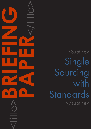<subtitle> Single Sourcing with Standards </subtitle>

<title>**BRIEFING**

**PAPER**<br>CONSTRAINS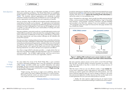**[Wikipedia](http://en.wikipedia.org/wiki/Single-sourcing)** 

### CAPDM Ltd. CAPDM Ltd.

Introduction and About twenty five years ago an information revolution occurred in global information publishing and delivery. The World Wide Web was established, greatly aided by a well refined international standard for information called ["HTML"](http://en.wikipedia.org/wiki/HTML). This revolution allowed organisations and individuals to publish information instantly around the world, at relatively low cost. It is still under way, but few organisations and individuals have yet to experience its benefits.

> Like any revolution, there are difficult and sometimes painful adjustments to be made before the benefits can be obtained. All organisations and individuals involved in the processes of producing and delivering education and learning materials have been challenged by it, and many are still struggling in one way or another, to cope with the extra cost or technicalities of working with online media as well as print.

> Education publishers, particularly small ones, are still challenged to produce and publish effective products for online education from existing print legacy assets, and to achieve this cost effectively at scale. Many costly failures in "eLearning" have been experienced, and many product offerings are still inflexible and poorly fit for purpose.

> Education providers including professional associations, universities and training providers have been challenged to design better individual teaching, learning and professional development experiences, and deliver them more conveniently at a distance. Much expensive "hand crafting" of online learning materials is still being endured, and in general the large scale provision of good quality learning materials for use online is still seen as too expensive and difficult.

**What** is single sourcing? So is there a magic bullet for education providers – a single solution that can take away most of these struggles with high preparation costs, low convenience and poor quality? Yes. Its called "single sourcing", and if you want to know more about it and what it can do for your organisation, read on.

> What this means is that you can now afford to create a "single **master** file" of your book, assessment, article, study guide etc. and capture in it all of the meaning you need to create more useful print and online products. You only have to edit that single file when you want to change or enhance it. This saves time and prevents duplication of effort, because you then use the single source to batch generate all of your print and online products in seconds.

Ten years before the arrival of the World Wide Web, a prior revolution occurred in information publishing when a new ISO standard for information called ["SGML"](http://en.wikipedia.org/wiki/SGML) provided a better way to publish information and capture knowledge. This prior revolution laid the electronic publishing foundations for the World Wide Web, but it also established the concept of "**Single sourcing**" as described thus in Wikipedia:

"Single sourcing, also known as single source publishing, allows the same content to be used in different documents or in various formats… Eliminating duplicate content can reduce translation and maintenance costs, improve consistency and minimise errors."

[Wikipedia Definition of "Single Sourcing"](http://en.wikipedia.org/wiki/Single-sourcing) 

It works by capturing your valuable new or legacy learning materials into a more flexible format called [XML](http://en.wikipedia.org/wiki/XML) (eXtensible Markup Language). Like the older SGML standard, XML allows you to capture the meaning of the information as well as the content, in a non-proprietary way.

Figure 1 illustrates how web pages, which actually have little meaning attached to them, can be converted into XML using flexible labels or "tags" to record the extra semantics. In this example, a learning "<outcome>" has been identified and recorded in the XML form, whereas it has to be labelled as a simple "<P>"paragraph in the web page form because the web page standard only has a limited set of labels.



#### Figure 1: Adding XML markup to your course masters to create more reusable single source masters and richer online interactions

The same 'semantic capture' process can be used to convert Microsoft Word files into XML, and typical industry conversion processes can convert a 100 page Word documents in less than a minute with an average accuracy of greater than 80%.

"…Ideally, the tools used for single-sourcing do not require human intervention to customise the formatting or content for the various outputs."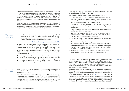#### CAPDM Ltd. CAPDM Ltd.

# Why open standards

Batch processing tools can take single source masters, and professionally typeset then as 700 page academic textbooks in 2 minutes, or generate 3500 HTML files in the same space of time to enrich your online learning environments. This extreme productivity improvement not only removes much of the drudgery of traditional typesetting, but also lets you generate many formatted outputs (web pages, mobile assessments, electronic books) in minutes from the same single master.

Single sourcing brings 'manufacturing' efficiencies to the production of learning materials in the same way Henry Ford revolutionised the production of automobiles. For managing large and complex domains of learning materials, it is quite simply the only way to do it cost effectively and at scale.

"A Standard is a documented agreement containing technical specifications or other precise criteria to be used consistently as rules, guidelines, or definitions of characteristics, to ensure that materials, products, processes and services are fit for their purpose."

#### [The International Organisation for Standards \(ISO\)](http://www.iso.org/iso/home.htm)

So what? Well, their main value is that they contribute to making life simpler, and to increasing the reliability and effectiveness of the goods and services we use. For example, the format of the credit cards, phone cards, and "smart" cards that have become commonplace is derived from an ISO International Standard. Adhering to the standard, which defines such features as an optimal thickness (0.76 mm), means that the cards can be used worldwide. Consider this benefit, the next time you travel.

The last thing you want to do is make a substantial, one-off investment in single sourcing, and find yourself tied to a proprietary vendor of format. It makes commercial sense then that the choice of formats you use for your single master sources, should be based on open, semantic standards, and XML is the most pragmatic choice for the majority of education content providers.

Single sourcing has already revolutionised the engineering documentation and news publishing industries, and is now poised to do so in education publishing and management. Why?

It can deliver an appreciable cost saving over the lifetime of an average information product (typically of the order 40-60%); it enables greater reuse of valuable information assets; and it drives up the quality and consistency of your education products. Single sourcing underpins the drastic reductions in cost that the batch processing of information enables, but an important by-product

of the process is that you get much more consistent (better quality) materials, produced more quickly for all output media.

It is also highly strategic because it helps you to do the following:

- 1. Control your own education content rather than handing it over to a commercial publisher to produce for you. This is true for textbooks, journals, assessment banks, case studies and other valuable knowledge assets you produce and maintain for your own core business use.
- 2. Centralise your CPD and distance learning programme developments by bringing the assets back in-house, even when you outsource their production and delivery.
- 3. Keep your delivery options open and migrate easily from paper to online, and from one VLE system to another.
- 4. Set your own standards and maintain them by encoding your own competency frameworks semantically using XML, and applying them to your various CPD and distance learning contexts.
- 5. Cherish and publish your own professional knowledge by committing to maintain and steadily enhance your education assets.
- 6. Outsource more intelligently, by being more clear about what you want to resource directly yourself and by what you must keep and manage yourself.
- 7. Partner more easily with other education providers by holding your materials in a much 'healthier' state which can be more easily re-used, re-styled and re-branded by your business partners.
- 8. Build a complete single solution for all your print and electronic publishing needs, and allow expert online CPD partners to share it with you.

The World's largest on-line MBA programme at Edinburgh Business School is now being delivered from its third VLE system. 20 million words of course materials in four languages; 8,000 diagrams and sundry other media objects were reused – without a single character having to be changed. This highly successful programme proved a 15 year record of successful single source publishing with open standards.

During the last ten years, the World Wide Web has continued to expand rapidly. However, it has also become more complex and more interactive. Some say it is well on the way to becoming more meaningful and useful too as the developers of the next generation of world wide web or "[Web 2.0](http://en.wikipedia.org/wiki/Web2)" are working to achieve.

To cope with the increasing complexities of publishing education materials for more interactive delivery in more languages and on more convenient devices, tomorrow's, education providers will turn to single source publishing solutions and standards. The sooner you start, the sooner the resources being spent today

# The bottom line

## Summary